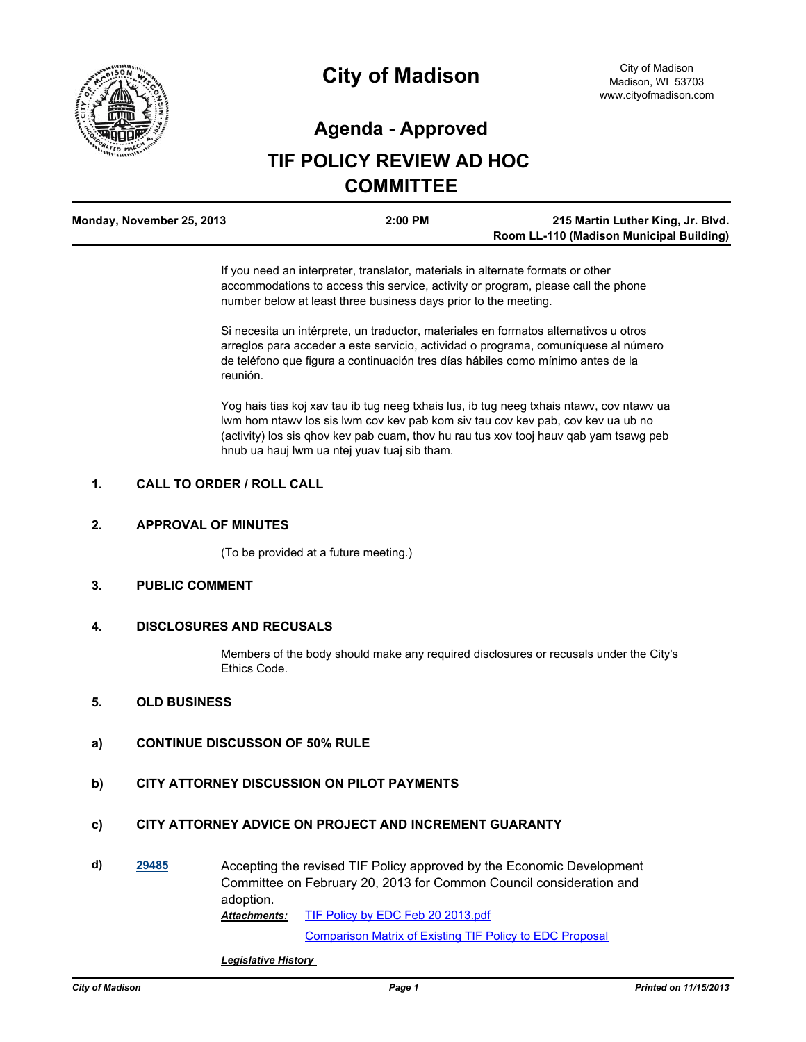

# **City of Madison**

## **Agenda - Approved**

## **TIF POLICY REVIEW AD HOC COMMITTEE**

| Monday, November 25, 2013 | 2:00 PM | 215 Martin Luther King, Jr. Blvd.        |
|---------------------------|---------|------------------------------------------|
|                           |         | Room LL-110 (Madison Municipal Building) |

If you need an interpreter, translator, materials in alternate formats or other accommodations to access this service, activity or program, please call the phone number below at least three business days prior to the meeting.

Si necesita un intérprete, un traductor, materiales en formatos alternativos u otros arreglos para acceder a este servicio, actividad o programa, comuníquese al número de teléfono que figura a continuación tres días hábiles como mínimo antes de la reunión.

Yog hais tias koj xav tau ib tug neeg txhais lus, ib tug neeg txhais ntawv, cov ntawv ua lwm hom ntawv los sis lwm cov kev pab kom siv tau cov kev pab, cov kev ua ub no (activity) los sis qhov kev pab cuam, thov hu rau tus xov tooj hauv qab yam tsawg peb hnub ua hauj lwm ua ntej yuav tuaj sib tham.

#### **1. CALL TO ORDER / ROLL CALL**

#### **2. APPROVAL OF MINUTES**

(To be provided at a future meeting.)

### **3. PUBLIC COMMENT**

#### **4. DISCLOSURES AND RECUSALS**

Members of the body should make any required disclosures or recusals under the City's Ethics Code.

#### **5. OLD BUSINESS**

#### **a) CONTINUE DISCUSSON OF 50% RULE**

### **b) CITY ATTORNEY DISCUSSION ON PILOT PAYMENTS**

## **c) CITY ATTORNEY ADVICE ON PROJECT AND INCREMENT GUARANTY**

**d) [29485](http://madison.legistar.com/gateway.aspx?m=l&id=/matter.aspx?key=32331)** Accepting the revised TIF Policy approved by the Economic Development Committee on February 20, 2013 for Common Council consideration and adoption.

[TIF Policy by EDC Feb 20 2013.pdf](http://madison.legistar.com/gateway.aspx?M=F&ID=dbc3830e-0a60-4c90-8427-7ace027a339f.pdf) *Attachments:*

[Comparison Matrix of Existing TIF Policy to EDC Proposal](http://madison.legistar.com/LegislationDetail.aspx?ID=1452413&GUID=5FE6CDB3-394A-42E9-96B7-3B4D5F932C70&Options=ID|Text|&Search=30799)

#### *Legislative History*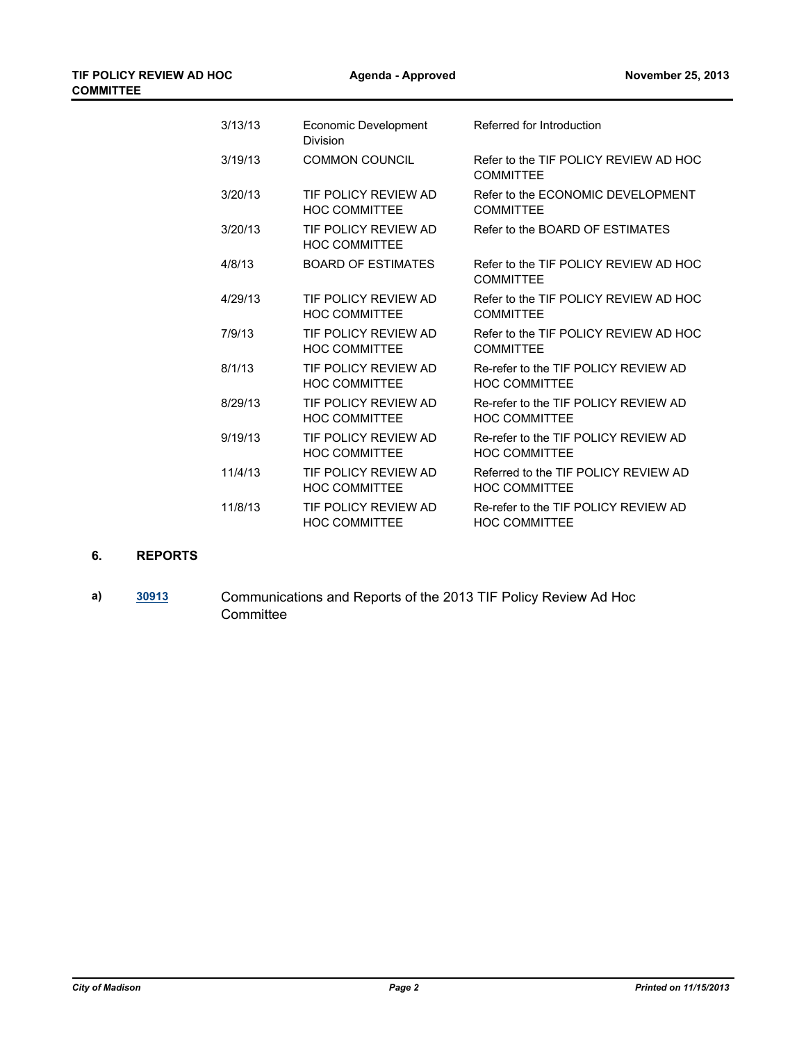| 3/13/13 | Economic Development<br>Division             | Referred for Introduction                                    |
|---------|----------------------------------------------|--------------------------------------------------------------|
| 3/19/13 | <b>COMMON COUNCIL</b>                        | Refer to the TIF POLICY REVIEW AD HOC<br><b>COMMITTEE</b>    |
| 3/20/13 | TIF POLICY REVIEW AD<br><b>HOC COMMITTEE</b> | Refer to the ECONOMIC DEVELOPMENT<br><b>COMMITTEE</b>        |
| 3/20/13 | TIF POLICY REVIEW AD<br><b>HOC COMMITTEE</b> | Refer to the BOARD OF ESTIMATES                              |
| 4/8/13  | <b>BOARD OF ESTIMATES</b>                    | Refer to the TIF POLICY REVIEW AD HOC<br><b>COMMITTEE</b>    |
| 4/29/13 | TIF POLICY REVIEW AD<br><b>HOC COMMITTEE</b> | Refer to the TIF POLICY REVIEW AD HOC<br><b>COMMITTEE</b>    |
| 7/9/13  | TIF POLICY REVIEW AD<br><b>HOC COMMITTEE</b> | Refer to the TIF POLICY REVIEW AD HOC<br><b>COMMITTEE</b>    |
| 8/1/13  | TIF POLICY REVIEW AD<br><b>HOC COMMITTEE</b> | Re-refer to the TIF POLICY REVIEW AD<br><b>HOC COMMITTEE</b> |
| 8/29/13 | TIF POLICY REVIEW AD<br><b>HOC COMMITTEE</b> | Re-refer to the TIF POLICY REVIEW AD<br><b>HOC COMMITTEE</b> |
| 9/19/13 | TIF POLICY REVIEW AD<br><b>HOC COMMITTEE</b> | Re-refer to the TIF POLICY REVIEW AD<br><b>HOC COMMITTEE</b> |
| 11/4/13 | TIF POLICY REVIEW AD<br><b>HOC COMMITTEE</b> | Referred to the TIF POLICY REVIEW AD<br><b>HOC COMMITTEE</b> |
| 11/8/13 | TIF POLICY REVIEW AD<br><b>HOC COMMITTEE</b> | Re-refer to the TIF POLICY REVIEW AD<br><b>HOC COMMITTEE</b> |

#### **6. REPORTS**

**a) [30913](http://madison.legistar.com/gateway.aspx?m=l&id=/matter.aspx?key=33839)** Communications and Reports of the 2013 TIF Policy Review Ad Hoc **Committee**